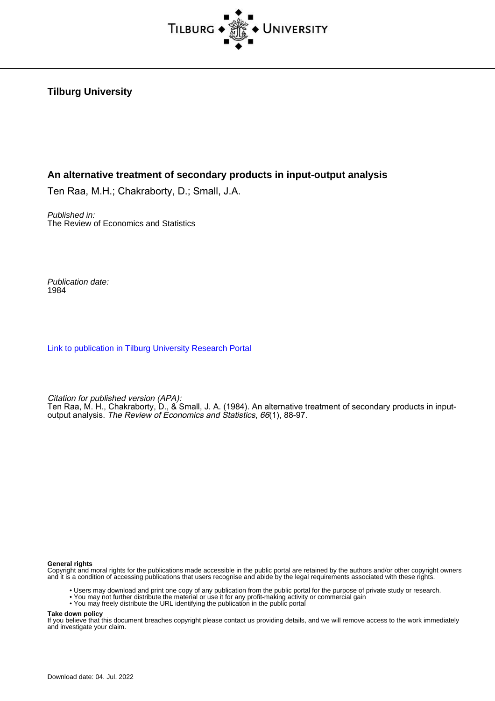

# **Tilburg University**

# **An alternative treatment of secondary products in input-output analysis**

Ten Raa, M.H.; Chakraborty, D.; Small, J.A.

Published in: The Review of Economics and Statistics

Publication date: 1984

[Link to publication in Tilburg University Research Portal](https://research.tilburguniversity.edu/en/publications/59100e30-8ddf-4683-9365-0be719c967f7)

Citation for published version (APA):

Ten Raa, M. H., Chakraborty, D., & Small, J. A. (1984). An alternative treatment of secondary products in inputoutput analysis. The Review of Economics and Statistics, 66(1), 88-97.

#### **General rights**

Copyright and moral rights for the publications made accessible in the public portal are retained by the authors and/or other copyright owners and it is a condition of accessing publications that users recognise and abide by the legal requirements associated with these rights.

- Users may download and print one copy of any publication from the public portal for the purpose of private study or research.
- You may not further distribute the material or use it for any profit-making activity or commercial gain
- You may freely distribute the URL identifying the publication in the public portal

### **Take down policy**

If you believe that this document breaches copyright please contact us providing details, and we will remove access to the work immediately and investigate your claim.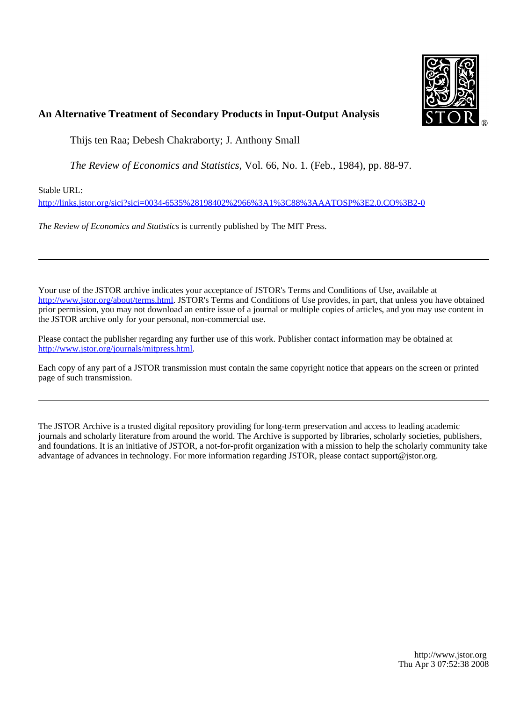

# **An Alternative Treatment of Secondary Products in Input-Output Analysis**

Thijs ten Raa; Debesh Chakraborty; J. Anthony Small

*The Review of Economics and Statistics*, Vol. 66, No. 1. (Feb., 1984), pp. 88-97.

Stable URL:

<http://links.jstor.org/sici?sici=0034-6535%28198402%2966%3A1%3C88%3AAATOSP%3E2.0.CO%3B2-0>

*The Review of Economics and Statistics* is currently published by The MIT Press.

Your use of the JSTOR archive indicates your acceptance of JSTOR's Terms and Conditions of Use, available at [http://www.jstor.org/about/terms.html.](http://www.jstor.org/about/terms.html) JSTOR's Terms and Conditions of Use provides, in part, that unless you have obtained prior permission, you may not download an entire issue of a journal or multiple copies of articles, and you may use content in the JSTOR archive only for your personal, non-commercial use.

Please contact the publisher regarding any further use of this work. Publisher contact information may be obtained at <http://www.jstor.org/journals/mitpress.html>.

Each copy of any part of a JSTOR transmission must contain the same copyright notice that appears on the screen or printed page of such transmission.

The JSTOR Archive is a trusted digital repository providing for long-term preservation and access to leading academic journals and scholarly literature from around the world. The Archive is supported by libraries, scholarly societies, publishers, and foundations. It is an initiative of JSTOR, a not-for-profit organization with a mission to help the scholarly community take advantage of advances in technology. For more information regarding JSTOR, please contact support@jstor.org.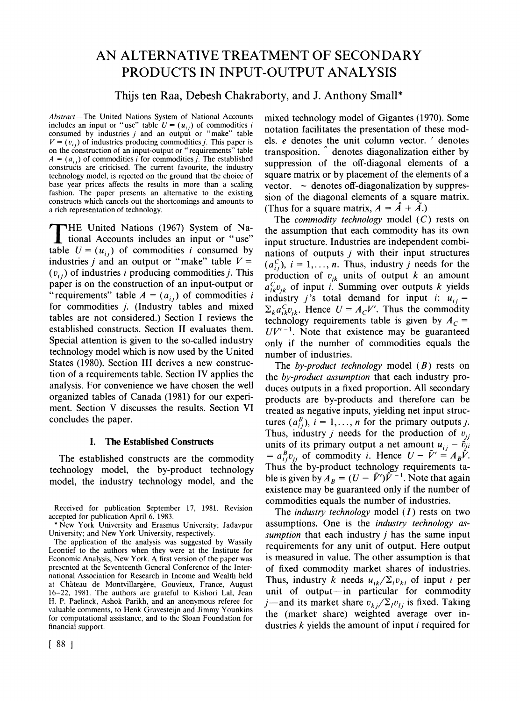# AN ALTERNATIVE TREATMENT OF SECONDARY PRODUCTS IN INPUT-OUTPUT ANALYSIS

# Thijs ten Raa, Debesh Chakraborty, and J. Anthony Small\*

Abstract-The United Nations System of National Accounts includes an input or "use" table  $U = (u_{ij})$  of commodities i consumed by industries  $j$  and an output or "make" table  $V = (v_{ij})$  of industries producing commodities *j*. This paper is on the construction of an input-output or "requirements" table  $A = (a_{ij})$  of commodities i for commodities j. The established constructs are criticised. The current favourite, the industry technology model, is rejected on the ground that the choice of base year prices affects the results in more than a scaling fashion. The paper presents an alternative to the existing constructs which cancels out the shortcomings and amounts to a rich representation of technology.

THE United Nations (1967) System of National Accounts includes an input or "use"<br>table  $U = (u_x)$  of commodities i consumed by table  $U = (u_{ij})$  of commodities i consumed by industries *j* and an output or "make" table  $V =$  $(v_{ij})$  of industries i producing commodities j. This paper is on the construction of an input-output or "requirements" table  $A = (a_{ij})$  of commodities i for commodities j. (Industry tables and mixed tables are not considered.) Section I reviews the established constructs. Section I1 evaluates them. Special attention is given to the so-called industry technology model which is now used by the United States (1980). Section 111 derives a new construction of a requirements table. Section IV applies the analysis. For convenience we have chosen the well organized tables of Canada (1981) for our experiment. Section V discusses the results. Section VI concludes the paper.

#### **I. The Established Constructs**

The established constructs are the commodity technology model, the by-product technology model, the industry technology model, and the

Received for publication September 17, 1981. Revision accepted for publication April 6, 1983.

\*New York University and Erasmus University; Jadavpur University; and New York University, respectively.

The application of the analysis was suggested by Wassily Leontief to the authors when they were at the Institute for Economic Analysis, New York. A first version of the paper was presented at the Seventeenth General Conference of the International Association for Research in Income and Wealth held at Château de Montvillargère, Gouvieux, France, August 16-22, 1981. The authors are grateful to Kishori Lal, Jean **Ii.** P. Paelinck, Ashok **Parikh,**and an anonymous referee for valuable comments, to Henk Gravesteijn and Jimmy Younkins for computational assistance, and to the Sloan Foundation for financial support.

mixed technology model of Gigantes (1970). Some notation facilitates the presentation of these models. e denotes the unit column vector. ' denotes transposition. denotes diagonalization either by suppression of the off-diagonal elements of a square matrix or by placement of the elements of a vector.  $\sim$  denotes off-diagonalization by suppression of the diagonal elements of a square matrix. (Thus for a square matrix,  $A = \hat{A} + \hat{A}$ .)

The *commodity technology* model  $(C)$  rests on the assumption that each commodity has its own input structure. Industries are independent combinations of outputs  $j$  with their input structures  $(a_{ij}^C)$ ,  $i = 1, \ldots, n$ . Thus, industry j needs for the production of  $v_{ik}$  units of output k an amount  $a_{ik}^C v_{ik}$  of input i. Summing over outputs k yields industry j's total demand for input i:  $u_{ij} =$  $\Sigma_k a_{ik}^C v_{ik}$ . Hence  $U = A_c V'$ . Thus the commodity technology requirements table is given by  $A_C =$  $UV'^{-1}$ . Note that existence may be guaranteed only if the number of commodities equals the number of industries.

The by-product technology model  $(B)$  rests on the by-product assumption that each industry produces outputs in a fixed proportion. All secondary products are by-products and therefore can be treated as negative inputs, yielding net input structures  $(a_{i,j}^B)$ ,  $i = 1, ..., n$  for the primary outputs j. Thus, industry *j* needs for the production of  $v_{ii}$ units of its primary output a net amount  $u_{ij} - \tilde{v}_{ji}$  $= a_{ij}^B v_{ij}$  of commodity *i*. Hence  $U - \tilde{V}' = A_B \tilde{V}$ . Thus the by-product technology requirements table is given by  $A_B = (U - \tilde{V}')\tilde{V}^{-1}$ . Note that again existence may be guaranteed only if the number of commodities equals the number of industries.

The industry technology model *(I)* rests on two assumptions. One is the industry technology assumption that each industry  $j$  has the same input requirements for any unit of output. Here output is measured in value. The other assumption is that of fixed commodity market shares of industries. Thus, industry k needs  $u_{ik}/\Sigma_l v_{kl}$  of input i per unit of output-in particular for commodity j—and its market share  $v_{ki}/\Sigma_l v_{li}$  is fixed. Taking the (market share) weighted average over industries  $k$  yields the amount of input  $i$  required for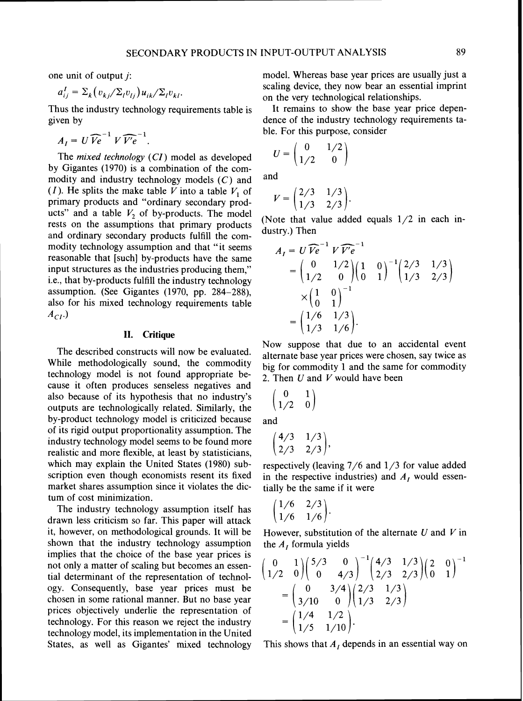one unit of output *j:* 

$$
a_{ij}^I = \Sigma_k (v_{kj}/\Sigma_l v_{lj}) u_{ik}/\Sigma_l v_{kl}.
$$

Thus the industry technology requirements table is given by

$$
A_I = U \widehat{Ve}^{-1} V \widehat{Ve}^{-1}.
$$

The *mixed technology* (CI) model as developed by Gigantes (1970) is a combination of the commodity and industry technology models  $(C)$  and (I). He splits the make table V into a table  $V_1$  of primary products and "ordinary secondary products" and a table  $V_2$  of by-products. The model rests on the assumptions that primary products and ordinary secondary products fulfill the commodity technology assumption and that "it seems reasonable that [such] by-products have the same input structures as the industries producing them," i.e., that by-products fulfill the industry technology assumption. (See Gigantes (1970, pp. 284-288), also for his mixed technology requirements table  $A_{CI}$ .)

# **11. Critique**

The described constructs will now be evaluated. While methodologically sound, the commodity technology model is not found appropriate because it often produces senseless negatives and also because of its hypothesis that no industry's outputs are technologically related. Similarly, the by-product technology model is criticized because of its rigtd output proportionality assumption. The industry technology model seems to be found more realistic and more flexible, at least by statisticians, which may explain the United States (1980) subscription even though economists resent its fixed market shares assumption since it violates the dictum of cost minimization.

The industry technology assumption itself has drawn less criticism so far. This paper will attack it, however, on methodological grounds. It will be shown that the industry technology assumption implies that the choice of the base year prices is not only a matter of scaling but becomes an essential determinant of the representation of technology. Consequently, base year prices must be chosen in some rational manner. But no base year prices objectively underlie the representation of technology. For this reason we reject the industry technology model, its implementation in the United States, as well as Gigantes' mixed technology model. Whereas base year prices are usually just a scaling device, they now bear an essential imprint on the very technological relationships.

It remains to show the base year price dependence of the industry technology requirements table. For this purpose, consider

$$
U=\begin{pmatrix}0&1/2\\1/2&0\end{pmatrix}
$$

and

$$
V = \begin{pmatrix} 2/3 & 1/3 \\ 1/3 & 2/3 \end{pmatrix}
$$

(Note that value added equals 1/2 in each industry.) Then

$$
A_{I} = U \widehat{V}e^{-1} V \widehat{V'}e^{-1}
$$
  
=  $\begin{pmatrix} 0 & 1/2 \\ 1/2 & 0 \end{pmatrix} \begin{pmatrix} 1 & 0 \\ 0 & 1 \end{pmatrix}^{-1} \begin{pmatrix} 2/3 & 1/3 \\ 1/3 & 2/3 \end{pmatrix}$   
 $\times \begin{pmatrix} 1 & 0 \\ 0 & 1 \end{pmatrix}^{-1}$   
=  $\begin{pmatrix} 1/6 & 1/3 \\ 1/3 & 1/6 \end{pmatrix}$ .

Now suppose that due to an accidental event alternate base year prices were chosen, say twice as big for commodity 1 and the same for commodity 2. Then *U* and V would have been

$$
\begin{pmatrix} 0 & 1 \\ 1/2 & 0 \end{pmatrix}
$$

and

$$
\begin{pmatrix} 4/3 & 1/3 \\ 2/3 & 2/3 \end{pmatrix},
$$

respectively (leaving 7/6 and 1/3 for value added in the respective industries) and  $A<sub>I</sub>$  would essentially be the same if it were

$$
\begin{pmatrix} 1/6 & 2/3 \\ 1/6 & 1/6 \end{pmatrix}.
$$

However, substitution of the alternate *U* and V in the *A,* formula yields

$$
\begin{pmatrix} 0 & 1 \ 1/2 & 0 \end{pmatrix} \begin{pmatrix} 5/3 & 0 \ 0 & 4/3 \end{pmatrix}^{-1} \begin{pmatrix} 4/3 & 1/3 \ 2/3 & 2/3 \end{pmatrix} \begin{pmatrix} 2 & 0 \ 0 & 1 \end{pmatrix}^{-1}
$$
  
=  $\begin{pmatrix} 0 & 3/4 \ 3/10 & 0 \end{pmatrix} \begin{pmatrix} 2/3 & 1/3 \ 1/3 & 2/3 \end{pmatrix}$   
=  $\begin{pmatrix} 1/4 & 1/2 \ 1/5 & 1/10 \end{pmatrix}$ .

This shows that  $A<sub>I</sub>$  depends in an essential way on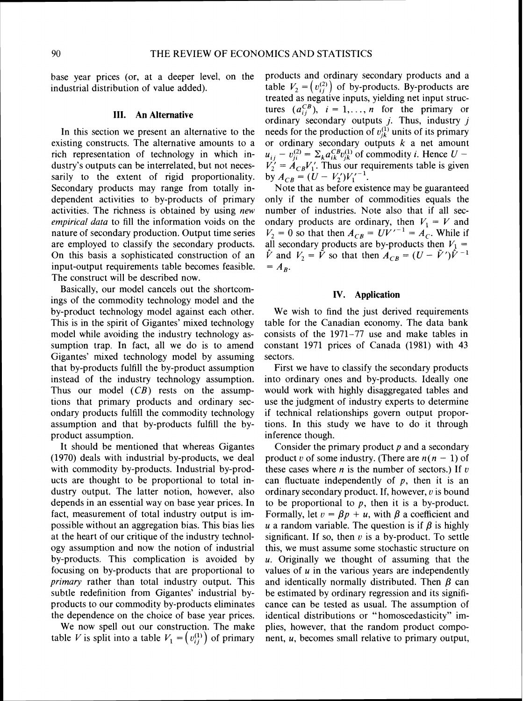base year prices (or, at a deeper level. on the industrial distribution of value added).

### **111. An Alternative**

In this section we present an alternative to the existing constructs. The alternative amounts to a rich representation of technology in which industry's outputs can be interrelated, but not necessarily to the extent of rigid proportionality. Secondary products may range from totally independent activities to by-products of primary activities. The richness is obtained by using new empirical data to fill the information voids on the nature of secondary production. Output time series are employed to classify the secondary products. On this basis a sophisticated construction of an input-output requirements table becomes feasible. The construct will be described now.

Basically, our model cancels out the shortcomings of the commodity technology model and the by-product technology model against each other. This is in the spirit of Gigantes' mixed technology model whle avoiding the industry technology assumption trap. In fact, all we do is to amend Gigantes' mixed technology model by assuming that by-products fulfill the by-product assumption instead of the industry technology assumption. Thus our model  $(CB)$  rests on the assumptions that primary products and ordinary secondary products fulfill the commodity technology assumption and that by-products fulfill the byproduct assumption.

It should be mentioned that whereas Gigantes (1970) deals with industrial by-products, we deal with commodity by-products. Industrial by-products are thought to be proportional to total industry output. The latter notion, however, also depends in an essential way on base year prices. In fact, measurement of total industry output is impossible without an aggregation bias. This bias lies at the heart of our critique of the industry technology assumption and now the notion of industrial by-products. This complication is avoided by focusing on by-products that are proportional to primary rather than total industry output. This subtle redefinition from Gigantes' industrial byproducts to our commodity by-products eliminates the dependence on the choice of base year prices.

We now spell out our construction. The make table V is split into a table  $V_1 = (v_{ii}^{(1)})$  of primary

products and ordinary secondary products and a table  $V_2 = (v_i^{(2)})$  of by-products. By-products are treated as negative inputs, yielding net input structures  $(a_{ii}^{CB})$ ,  $i = 1, ..., n$  for the primary or ordinary secondary outputs  $j$ . Thus, industry  $j$ needs for the production of  $v_{ik}^{(1)}$  units of its primary or ordinary secondary outputs  $k$  a net amount or ordinary secondary outputs *k* a net amount  $u_{ij} - v_{ji}^{(2)} = \sum_k a_{ik}^{CB} v_{jk}^{(1)}$  of commodity *i*. Hence  $U V'_2 = A_{CB} V'_1$ . Thus our requirements table is given by  $A_{CB} = (U - V_2'){V_1'}^{-1}$ .

Note that as before existence may be guaranteed only if the number of commodities equals the number of industries. Note also that if all secondary products are ordinary, then  $V_1 = V$  and  $V_2 = 0$  so that then  $A_{CB} = UV'^{-1} = A_C$ . While if all secondary products are by-products then  $V_1 = \hat{V}$  and  $V_2 = \hat{V}$  so that then  $A_{CB} = (U - \hat{V}')\hat{V}^{-1}$ <br>=  $A_B$ .

# **IV. Application**

We wish to find the just derived requirements table for the Canadian economy. The data bank consists of the 1971-77 use and make tables in constant 1971 prices of Canada (1981) with 43 sectors.

First we have to classify the secondary products into ordinary ones and by-products. Ideally one would work with highly disaggregated tables and use the judgment of industry experts to determine if technical relationships govern output proportions. In this study we have to do it through inference though.

Consider the primary product  $p$  and a secondary product v of some industry. (There are  $n(n - 1)$  of these cases where  $n$  is the number of sectors.) If  $v$ can fluctuate independently of  $p$ , then it is an ordinary secondary product. If, however,  $v$  is bound to be proportional to  $p$ , then it is a by-product. Formally, let  $v = \beta p + u$ , with  $\beta$  a coefficient and u a random variable. The question is if  $\beta$  is highly significant. If so, then *u* is a by-product. To settle this, we must assume some stochastic structure on  $u$ . Originally we thought of assuming that the values of  $u$  in the various years are independently and identically normally distributed. Then  $\beta$  can be estimated by ordinary regression and its significance can be tested as usual. The assumption of identical distributions or "homoscedasticity" implies, however, that the random product component, u, becomes small relative to primary output,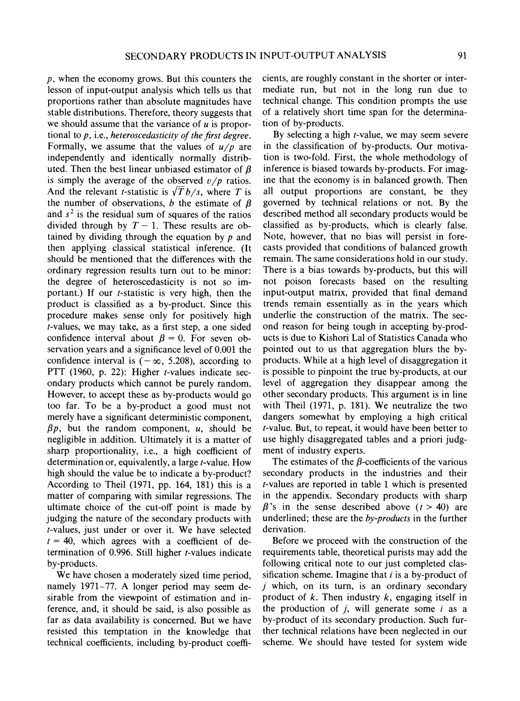$p$ , when the economy grows. But this counters the lesson of input-output analysis which tells us that proportions rather than absolute magnitudes have stable distributions. Therefore, theory suggests that we should assume that the variance of  $u$  is proportional to  $p$ , i.e., heteroscedasticity of the first degree. Formally, we assume that the values of  $u/p$  are independently and identically normally distributed. Then the best linear unbiased estimator of  $\beta$ is simply the average of the observed  $v/p$  ratios. And the relevant *t*-statistic is  $\sqrt{T}b/s$ , where T is the number of observations, b the estimate of  $\beta$ and  $s<sup>2</sup>$  is the residual sum of squares of the ratios divided through by  $T - 1$ . These results are obtained by dividing through the equation by  $p$  and then applying classical statistical inference. (It should be mentioned that the differences with the ordinary regression results turn out to be minor: the degree of heteroscedasticity is not so important.) If our  $t$ -statistic is very high, then the product is classified as a by-product. Since this procedure makes sense only for positively high t-values, we may take, as a first step, a one sided confidence interval about  $\beta = 0$ . For seven observation years and a significance level of 0.001 the confidence interval is  $(-\infty, 5.208)$ , according to PTT (1960, p. 22): Higher  $t$ -values indicate secondary products whlch cannot be purely random. However, to accept these as by-products would go too far. To be a by-product a good must not merely have a significant deterministic component,  $\beta p$ , but the random component, u, should be negligible in addition. Ultimately it is a matter of sharp proportionality, i.e., a high coefficient of determination or, equivalently, a large *t*-value. How high should the value be to indicate a by-product? According to Theil (1971, pp. 164, 181) this is a matter of comparing with similar regressions. The ultimate choice of the cut-off point is made by judging the nature of the secondary products with t-values, just under or over it. We have selected  $t = 40$ , which agrees with a coefficient of determination of 0.996. Still higher t-values indicate by-products.

We have chosen a moderately sized time period, namely 1971-77. A longer period may seem desirable from the viewpoint of estimation and inference, and, it should be said, is also possible as far as data availability is concerned. But we have resisted ths temptation in the knowledge that technical coefficients, including by-product coefficients, are roughly constant in the shorter or intermediate run, but not in the long run due to technical change. This condition prompts the use of a relatively short time span for the determination of by-products.

By selecting a high  $t$ -value, we may seem severe in the classification of by-products. Our motivation is two-fold. First, the whole methodology of inference is biased towards by-products. For imagine that the economy is in balanced growth. Then all output proportions are constant, be they governed by technical relations or not. By the described method all secondary products would be classified as by-products, which is clearly false. Note, however, that no bias will persist in forecasts provided that conditions of balanced growth remain. The same considerations hold in our study. There is a bias towards by-products, but this will not poison forecasts based on the resulting input-output matrix, provided that final demand trends remain essentially as in the years which underlie the construction of the matrix. The second reason for being tough in accepting by-products is due to Kishori La1 of Statistics Canada who pointed out to us that aggregation blurs the byproducts. While at a high level of disaggregation it is possible to pinpoint the true by-products, at our level of aggregation they disappear among the other secondary products. This argument is in line with Theil (1971, p. 181). We neutralize the two dangers somewhat by employing a high critical t-value. But, to repeat, it would have been better to use highly disaggregated tables and a priori judgment of industry experts.

The estimates of the  $\beta$ -coefficients of the various secondary products in the industries and their t-values are reported in table 1 which is presented in the appendix. Secondary products with sharp  $\beta$ 's in the sense described above (t > 40) are underlined; these are the by-products in the further derivation.

Before we proceed with the construction of the requirements table, theoretical purists may add the following critical note to our just completed classification scheme. Imagine that  $i$  is a by-product of *j* which, on its turn, is an ordinary secondary product of  $k$ . Then industry  $k$ , engaging itself in the production of *j,* will generate some i as a by-product of its secondary production. Such further technical relations have been neglected in our scheme. We should have tested for system wide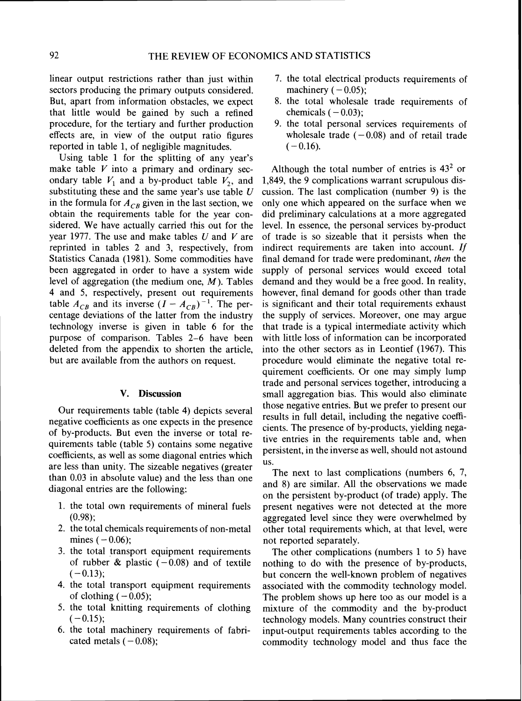linear output restrictions rather than just within sectors producing the primary outputs considered. But, apart from information obstacles, we expect that little would be gained by such a refined procedure, for the tertiary and further production effects are, in view of the output ratio figures reported in table 1, of negligible magnitudes.

Using table 1 for the splitting of any year's make table  $V$  into a primary and ordinary secondary table  $V_1$  and a by-product table  $V_2$ , and substituting these and the same year's use table *U*  in the formula for  $A_{CB}$  given in the last section, we obtain the requirements table for the year considered. We have actually carried this out for the year 1977. The use and make tables *U* and V are reprinted in tables 2 and 3, respectively, from Statistics Canada (1981). Some commodities have been aggregated in order to have a system wide level of aggregation (the medium one,  $M$ ). Tables 4 and 5, respectively, present out requirements table  $A_{CB}$  and its inverse  $(I - A_{CB})^{-1}$ . The percentage deviations of the latter from the industry technology inverse is given in table 6 for the purpose of comparison. Tables 2-6 have been deleted from the appendix to shorten the article, but are available from the authors on request.

## **V. Discussion**

Our requirements table (table 4) depicts several negative coefficients as one expects in the presence of by-products. But even the inverse or total requirements table (table 5) contains some negative coefficients, as well as some diagonal entries which are less than unity. The sizeable negatives (greater than 0.03 in absolute value) and the less than one diagonal entries are the following:

- 1. the total own requirements of mineral fuels (0.98);
- 2. the total chemicals requirements of non-metal mines  $(-0.06)$ ;
- 3. the total transport equipment requirements of rubber & plastic  $(-0.08)$  and of textile  $(-0.13);$
- 4. the total transport equipment requirements of clothing  $(-0.05)$ ;
- 5. the total knitting requirements of clothing  $(-0.15)$ ;
- 6. the total machinery requirements of fabricated metals  $(-0.08)$ ;
- 7. the total electrical products requirements of machinery  $(-0.05)$ ;
- 8. the total wholesale trade requirements of chemicals  $(-0.03)$ ;
- 9. the total personal services requirements of wholesale trade  $(-0.08)$  and of retail trade  $(-0.16)$ .

Although the total number of entries is  $43<sup>2</sup>$  or 1,849, the 9 complications warrant scrupulous discussion. The last complication (number 9) is the only one whch appeared on the surface when we did preliminary calculations at a more aggregated level. In essence, the personal services by-product of trade is so sizeable that it persists when the indirect requirements are taken into account. If final demand for trade were predominant, *then* the supply of personal services would exceed total demand and they would be a free good. In reality. however, final demand for goods other than trade is significant and their total requirements exhaust the supply of services. Moreover, one may argue that trade is a typical intermediate activity which with little loss of information can be incorporated into the other sectors as in Leontief (1967). This procedure would eliminate the negative total requirement coefficients. Or one may simply lump trade and personal services together, introducing a small aggregation bias. This would also eliminate those negative entries. But we prefer to present our results in full detail, including the negative coefficients. The presence of by-products, yielding negative entries in the requirements table and, when persistent, in the inverse as well, should not astound US.

The next to last complications (numbers 6, 7, and 8) are similar. All the observations we made on the persistent by-product (of trade) apply. The present negatives were not detected at the more aggregated level since they were overwhelmed by other total requirements which, at that level, were not reported separately.

The other complications (numbers 1 to *5)* have nothing to do with the presence of by-products, but concern the well-known problem of negatives associated with the commodity technology model. The problem shows up here too as our model is a mixture of the commodity and the by-product technology models. Many countries construct their input-output requirements tables according to the commodity technology model and thus face the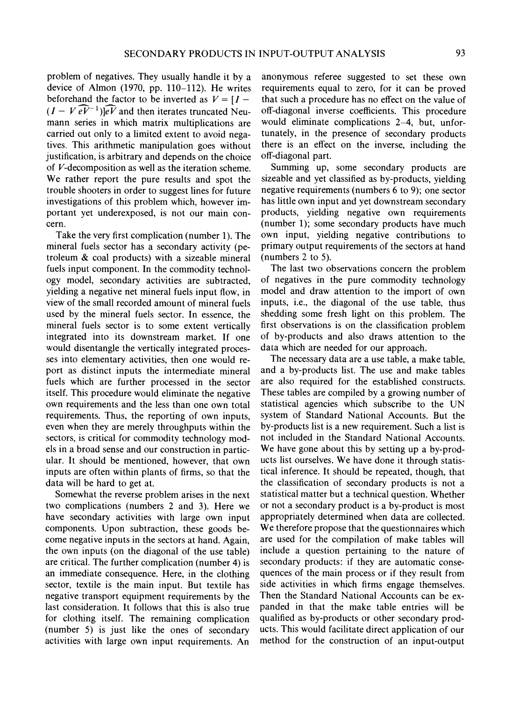problem of negatives. They usually handle it by a device of Almon (1970, pp. 110-112). He writes beforehand the factor to be inverted as  $V = [I (I - V \widehat{eV}^{-1})\widehat{eV}$  and then iterates truncated Neumann series in which matrix multiplications are carried out only to a limited extent to avoid negatives. This arithmetic manipulation goes without justification, is arbitrary and depends on the choice of V-decomposition as well as the iteration scheme. We rather report the pure results and spot the trouble shooters in order to suggest lines for future investigations of this problem which, however important yet underexposed, is not our main concern.

Take the very first complication (number 1). The mineral fuels sector has a secondary activity (petroleum & coal products) with a sizeable mineral fuels input component. In the commodity technology model, secondary activities are subtracted, yielding a negative net mineral fuels input flow, in view of the small recorded amount of mineral fuels used by the mineral fuels sector. In essence, the mineral fuels sector is to some extent vertically integrated into its downstream market. If one would disentangle the vertically integrated processes into elementary activities, then one would report as distinct inputs the intermediate mineral fuels which are further processed in the sector itself. This procedure would eliminate the negative own requirements and the less than one own total requirements. Thus, the reporting of own inputs, even when they are merely throughputs within the sectors, is critical for commodity technology models in a broad sense and our construction in particular. It should be mentioned, however, that own inputs are often within plants of firms, so that the data will be hard to get at.

Somewhat the reverse problem arises in the next two complications (numbers 2 and 3). Here we have secondary activities with large own input components. Upon subtraction, these goods become negative inputs in the sectors at hand. Again, the own inputs (on the diagonal of the use table) are critical. The further complication (number 4) is an immediate consequence. Here, in the clothing sector, textile is the main input. But textile has negative transport equipment requirements by the last consideration. It follows that this is also true for clothing itself. The remaining complication (number 5) is just like the ones of secondary activities with large own input requirements. An

anonymous referee suggested to set these own requirements equal to zero, for it can be proved that such a procedure has no effect on the value of off-diagonal inverse coefficients. This procedure would eliminate complications 2-4, but, unfortunately, in the presence of secondary products there is an effect on the inverse, including the off-diagonal part.

Summing up, some secondary products are sizeable and yet classified as by-products, yielding negative requirements (numbers 6 to 9); one sector has little own input and yet downstream secondary products, yielding negative own requirements  $(number 1)$ ; some secondary products have much own input, yielding negative contributions to primary output requirements of the sectors at hand (numbers 2 to *5).* 

The last two observations concern the problem of negatives in the pure commodity technology model and draw attention to the import of own inputs, i.e., the diagonal of the use table, thus shedding some fresh light on this problem. The first observations is on the classification problem of by-products and also draws attention to the data which are needed for our approach.

The necessary data are a use table, a make table, and a by-products list. The use and make tables are also required for the established constructs. These tables are compiled by a growing number of statistical agencies whch subscribe to the UN system of Standard National Accounts. But the by-products list is a new requirement. Such a list is not included in the Standard National Accounts. We have gone about this by setting up a by-products list ourselves. We have done it through statistical inference. It should be repeated, though, that the classification of secondary products is not a statistical matter but a technical question. Whether or not a secondary product is a by-product is most appropriately determined when data are collected. We therefore propose that the questionnaires which are used for the compilation of make tables will include a question pertaining to the nature of secondary products: if they are automatic consequences of the main process or if they result from side activities in which firms engage themselves. Then the Standard National Accounts can be expanded in that the make table entries will be qualified as by-products or other secondary products. This would facilitate direct application of our method for the construction of an input-output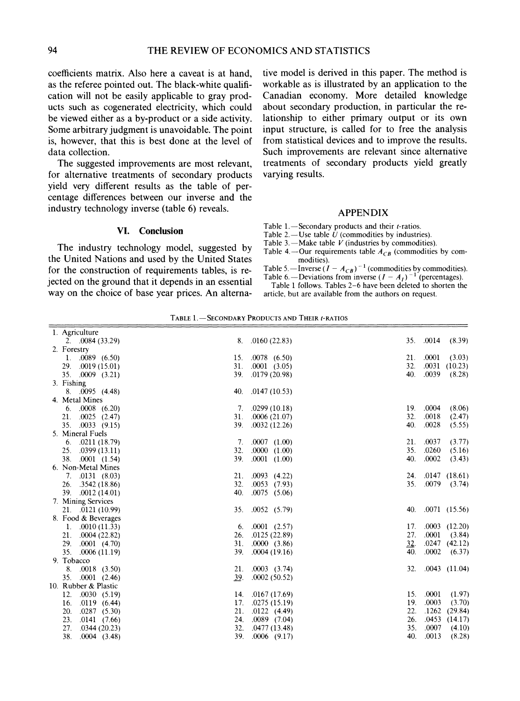coefficients matrix. Also here a caveat is at hand, as the referee pointed out. The black-whlte qualification will not be easily applicable to gray products such as cogenerated electricity, which could be viewed either as a by-product or a side activity. Some arbitrary judgment is unavoidable. The point is, however, that this is best done at the level of data collection.

The suggested improvements are most relevant, for alternative treatments of secondary products yield very different results as the table of percentage differences between our inverse and the industry technology inverse (table 6) reveals.

## **VI. Conclusion**

The industry technology model, suggested by the United Nations and used bv the United States for the construction of requirements tables, is rejected on the ground that it depends in an essential way on the choice of base year prices. An alternative model is derived in this paper. The method is workable as is illustrated by an application to the Canadian economy. More detailed knowledge about secondary production, in particular the relationship to either primary output or its own input structure, is called for to free the analysis from statistical devices and to improve the results. Such improvements are relevant since alternative treatments of secondary products yield greatly varying results.

## APPENDIX

- Table 1.-Secondary products and their  $t$ -ratios.
- Table 2. $-$ Use table  $\hat{U}$  (commodities by industries).
- Table 3.—Make table  $V$  (industries by commodities).
- modities). Table 4.-Our requirements table  $A_{CB}$  (commodities by com-
- Table 5.—Inverse ( $I A_{CB}$ )<sup>-1</sup> (commodities by commodities). Table 6.-Deviations from inverse  $(I - A_I)^{-1}$  (percentages).

Table 1 follows. Tables 2-6 have been deleted to shorten the article, but are available from the authors on request.

| 1. Agriculture                |            |                                |     |                     |
|-------------------------------|------------|--------------------------------|-----|---------------------|
| 2. $.0084(33.29)$             | 8.         | .0160(22.83)                   |     | 35. 0014<br>(8.39)  |
| 2. Forestry                   |            |                                |     |                     |
| 1. $.0089$ (6.50)             | 15.        | $.0078$ (6.50)                 | 21. | .0001<br>(3.03)     |
| 29. .0019 (15.01)             | 31.        | $.0001$ $(3.05)$               | 32. | $.0031$ $(10.23)$   |
| 35. .0009 (3.21)              | 39.        | .0179(20.98)                   | 40. | .0039<br>(8.28)     |
| 3. Fishing                    |            |                                |     |                     |
| $8. \quad 0095 \quad (4.48)$  | 40.        | .0147(10.53)                   |     |                     |
| 4. Metal Mines                |            |                                |     |                     |
| $6. \quad .0008 \quad (6.20)$ |            | 7. $.0299(10.18)$              | 19. | .0004<br>(8.06)     |
| 21.<br>$.0025$ $(2.47)$       | 31.        | .0006(21.07)                   | 32. | .0018<br>(2.47)     |
| 35.<br>$.0033$ (9.15)         | 39.        | .0032(12.26)                   | 40. | .0028<br>(5.55)     |
| 5. Mineral Fuels              |            |                                |     |                     |
| 6. $.0211(18.79)$             | 7.         | $.0007$ $(1.00)$               | 21. | .0037<br>(3.77)     |
| $25. \quad .0399(13.11)$      | 32.        | .0000(1.00)                    | 35. | .0260<br>(5.16)     |
| 38. .0001 (1.54)              | 39.        | $.0001$ $(1.00)$               | 40. | .0002<br>(3.43)     |
| 6. Non-Metal Mines            |            |                                |     |                     |
| $7. \quad 0131 \quad (8.03)$  | 21.        | .0093(4.22)                    |     | 24. .0147 (18.61)   |
| 26. .3542 (18.86)             | 32.        | $.0053$ (7.93)                 |     | 35. .0079<br>(3.74) |
| 39. .0012 (14.01)             | 40.        | $.0075$ (5.06)                 |     |                     |
| 7. Mining Services            |            |                                |     |                     |
| $21. \quad .0121 \ (10.99)$   |            | 35. .0052 (5.79)               |     | 40. .0071 (15.56)   |
| 8. Food & Beverages           |            |                                |     |                     |
| 1. $.0010(11.33)$             |            | 6. $.0001$ (2.57)              | 17. | $.0003$ $(12.20)$   |
| $21. \quad .0004 \; (22.82)$  | 26.        | .0125(22.89)                   | 27. | .0001<br>(3.84)     |
| 29. .0001 (4.70)              | 31.        | .0000(3.86)                    | 32. | .0247(42.12)        |
| 35.<br>.0006(11.19)           | 39.        | .0004(19.16)                   | 40. | .0002<br>(6.37)     |
| 9. Tobacco                    |            |                                |     |                     |
| 8.<br>$.0018$ $(3.50)$        |            | $21. \quad .0003 \quad (3.74)$ |     | 32. .0043 (11.04)   |
| 35. $.0001$ (2.46)            | <u>39.</u> | .0002(50.52)                   |     |                     |
| 10. Rubber & Plastic          |            |                                |     |                     |
| 12.<br>.0030(5.19)            |            | 14. .0167 (17.69)              | 15. | .0001<br>(1.97)     |
| .0119(6.44)<br>16.            | 17.        | .0275(15.19)                   | 19. | .0003<br>(3.70)     |
| 20.<br>.0287(5.30)            | 21.        | .0122(4.49)                    | 22. | $.1262$ (29.84)     |
| 23.<br>.0141(7.66)            | 24.        | $.0089$ $(7.04)$               | 26. | $.0453$ $(14.17)$   |
| 27.<br>.0344(20.23)           | 32.        | .0477(13.48)                   | 35. | .0007<br>(4.10)     |
| 38.<br>$.0004$ $(3.48)$       | 39.        | $.0006$ (9.17)                 | 40. | .0013<br>(8.28)     |

TABLE 1. - SECONDARY PRODUCTS AND THEIR t-RATIOS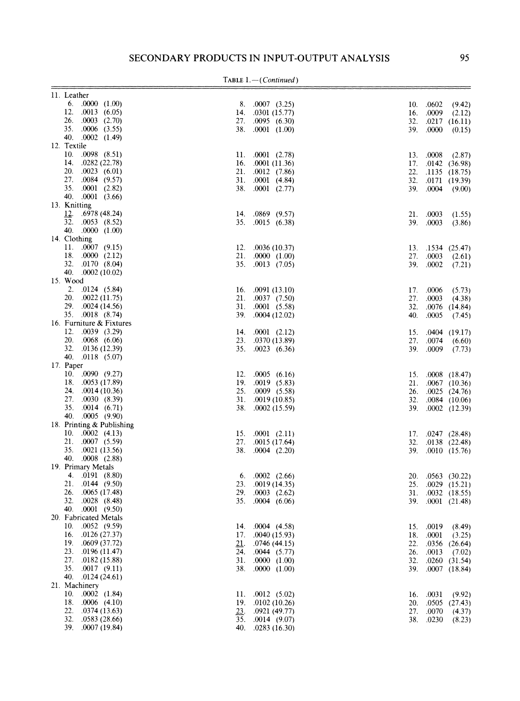|  |  | $TABLE 1. - (Continued)$ |  |
|--|--|--------------------------|--|
|--|--|--------------------------|--|

| 11. Leather                    |     |                                |     |           |                                 |
|--------------------------------|-----|--------------------------------|-----|-----------|---------------------------------|
| 6. $.0000(1.00)$               |     | $8. \quad .0007 \quad (3.25)$  |     | 10. .0602 | (9.42)                          |
| 12. $.0013$ (6.05)             |     | 14. .0301 (15.77)              | 16. | .0009     | (2.12)                          |
| $26. \quad .0003 \quad (2.70)$ |     | 27. .0095 (6.30)               | 32. |           | .0217(16.11)                    |
| 35. .0006 (3.55)               |     | 38. .0001 (1.00)               | 39. | .0000     | (0.15)                          |
| 40. .0002 (1.49)               |     |                                |     |           |                                 |
| 12. Textile                    |     |                                |     |           |                                 |
| $.0098$ $(8.51)$<br>10.        |     | 11. $.0001$ (2.78)             |     |           |                                 |
| 14.                            |     |                                |     |           | 13. $.0008$ (2.87)              |
| .0282 (22.78)                  |     | 16. $.0001(11.36)$             | 17. |           | .0142(36.98)                    |
| 20.<br>.0023(6.01)             | 21. | $.0012$ $(7.86)$               | 22. |           | .1135(18.75)                    |
| 27. .0084 (9.57)               |     | 31. .0001 (4.84)               | 32. |           | .0171 (19.39)                   |
| 35.<br>$.0001$ $(2.82)$        |     | 38. .0001 (2.77)               | 39. |           | $.0004$ (9.00)                  |
| 40.<br>$.0001$ $(3.66)$        |     |                                |     |           |                                 |
| 13. Knitting                   |     |                                |     |           |                                 |
| 12.<br>.6978 (48.24)           |     | 14. .0869 (9.57)               |     | 21. .0003 | (1.55)                          |
| 32. .0053 (8.52)               |     | 35. .0015 (6.38)               | 39. | .0003     | (3.86)                          |
| 40.<br>.0000(1.00)             |     |                                |     |           |                                 |
| 14. Clothing                   |     |                                |     |           |                                 |
| 11.<br>$.0007$ (9.15)          |     | 12. $.0036(10.37)$             |     |           | 13. .1534 (25.47)               |
| 18. $.0000(2.12)$              | 21. | .0000(1.00)                    |     |           | 27. 0003 (2.61)                 |
| 32. .0170 (8.04)               |     | 35. .0013 (7.05)               |     | 39. .0002 | (7.21)                          |
| 40. $.0002(10.02)$             |     |                                |     |           |                                 |
| 15. Wood                       |     |                                |     |           |                                 |
| 2. $.0124$ (5.84)              |     | 16. $.0091(13.10)$             |     | 17. .0006 | (5.73)                          |
| $20. \quad .0022 \ (11.75)$    |     | $21. \quad .0037 \quad (7.50)$ | 27. | .0003     | (4.38)                          |
| 29. .0024 (14.56)              |     | $.0001$ $(5.58)$               |     |           |                                 |
| 35. .0018 (8.74)               | 31. |                                | 32. |           | $.0076$ $(14.84)$               |
|                                |     | 39. .0004 (12.02)              | 40. | .0005     | (7.45)                          |
| 16. Furniture & Fixtures       |     |                                |     |           |                                 |
| 12. .0039 (3.29)               | 14. | $.0001$ $(2.12)$               |     |           | 15. $.0404$ (19.17)             |
| $20.$ .0068 (6.06)             | 23. | .0370(13.89)                   | 27. | .0074     | (6.60)                          |
| 32. .0136 (12.39)              |     | 35. .0023 (6.36)               | 39. | .0009     | (7.73)                          |
| 40. .0118 (5.07)               |     |                                |     |           |                                 |
| 17. Paper                      |     |                                |     |           |                                 |
| 10. $.0090$ (9.27)             | 12. | $.0005$ (6.16)                 |     |           | 15. .0008 (18.47)               |
| 18. .0053 (17.89)              | 19. | .0019(5.83)                    |     |           | 21. .0067 (10.36)               |
| 24. $.0014(10.36)$             | 25. | $.0009$ (5.58)                 | 26. |           | $.0025$ $(24.76)$               |
| 27. .0030 (8.39)               |     | 31. $.0019(10.85)$             |     |           | 32. .0084 (10.06)               |
| .0014(6.71)<br>35.             | 38. | .0002(15.59)                   | 39. |           | $.0002$ $(12.39)$               |
| 40. .0005 (9.90)               |     |                                |     |           |                                 |
| 18. Printing & Publishing      |     |                                |     |           |                                 |
| 10. $.0002$ (4.13)             | 15. | $.0001$ $(2.11)$               |     |           | 17. $.0247$ (28.48)             |
| 21. .0007 (5.59)               | 27. | .0015(17.64)                   | 32. |           | $.0138$ $(22.48)$               |
| 35. .0021 (13.56)              |     | 38. .0004 (2.20)               |     |           | 39. .0010 (15.76)               |
| 40.                            |     |                                |     |           |                                 |
| $.0008$ $(2.88)$               |     |                                |     |           |                                 |
| 19. Primary Metals             |     |                                |     |           |                                 |
| 4. .0191 (8.80)                | 6.  | $.0002$ $(2.66)$               | 20. |           | $.0563$ (30.22)                 |
| 21. $.0144$ (9.50)             | 23. | .0019(14.35)                   |     |           | $25. \quad .0029 \quad (15.21)$ |
| 26. .0065 (17.48)              | 29. | $.0003$ $(2.62)$               | 31. |           | $.0032$ $(18.55)$               |
| 32. .0028 (8.48)               |     | 35. .0004 (6.06)               |     |           | 39. .0001 (21.48)               |
| 40. .0001 (9.50)               |     |                                |     |           |                                 |
| 20. Fabricated Metals          |     |                                |     |           |                                 |
| 10.<br>.0052(9.59)             | 14. | .0004(4.58)                    | 15. | .0019     | (8.49)                          |
| 16.<br>.0126(27.37)            | 17. | .0040(15.93)                   | 18. | .0001     | (3.25)                          |
| 19.<br>.0609 (37.72)           | 21. | .0746 (44.15)                  | 22. |           | $.0356$ $(26.64)$               |
| 23.<br>.0196(11.47)            | 24. | .0044(5.77)                    | 26. | .0013     | (7.02)                          |
| 27.<br>.0182(15.88)            | 31. | .0000(1.00)                    | 32. |           | $.0260$ $(31.54)$               |
| 35. .0017 (9.11)               | 38. | .0000 (1.00)                   | 39. |           | $.0007$ $(18.84)$               |
| 40.<br>.0124(24.61)            |     |                                |     |           |                                 |
| 21. Machinery                  |     |                                |     |           |                                 |
| 10.<br>$.0002$ $(1.84)$        | 11. | .0012(5.02)                    | 16. | .0031     | (9.92)                          |
| 18.<br>$.0006$ (4.10)          | 19. | .0102(10.26)                   | 20. |           | $.0505$ $(27.43)$               |
| 22.<br>.0374(13.63)            | 23. | .0921(49.77)                   | 27. | .0070     | (4.37)                          |
| 32.<br>.0583(28.66)            | 35. | .0014(9.07)                    |     |           |                                 |
| 39.<br>.0007(19.84)            |     |                                | 38. | .0230     | (8.23)                          |
|                                | 40. | .0283(16.30)                   |     |           |                                 |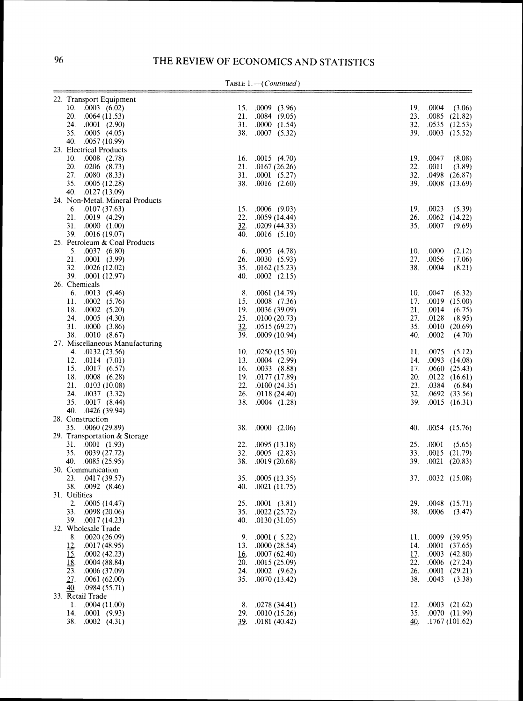| 22. Transport Equipment                   |            |                    |     |                                        |        |
|-------------------------------------------|------------|--------------------|-----|----------------------------------------|--------|
| 10. $.0003$ (6.02)                        |            | 15. $.0009$ (3.96) | 19. | .0004                                  | (3.06) |
| $20.$ $.0064(11.53)$                      | 21.        | .0084(9.05)        | 23. | $.0085$ $(21.82)$                      |        |
| 24.<br>$.0001$ (2.90)                     | 31.        | .0000(1.54)        | 32. | $.0535$ $(12.53)$                      |        |
| 35. .0005 (4.05)                          |            | 38. .0007 (5.32)   | 39. | $.0003$ $(15.52)$                      |        |
| 40. .0057 (10.99)                         |            |                    |     |                                        |        |
| 23. Electrical Products                   |            |                    |     |                                        |        |
| 10.<br>$.0008$ $(2.78)$                   |            | 16. $.0015$ (4.70) |     | 19. .0047                              | (8.08) |
| 20.<br>$.0206$ $(8.73)$                   | 21.        | .0167(26.26)       | 22. | .0011                                  | (3.89) |
| 27. .0080 (8.33)                          |            | 31. .0001 (5.27)   | 32. | $.0498$ $(26.87)$                      |        |
| 35.<br>.0005(12.28)                       |            | 38. .0016 (2.60)   | 39. | $.0008$ $(13.69)$                      |        |
| 40. .0127 (13.09)                         |            |                    |     |                                        |        |
| 24. Non-Metal. Mineral Products           |            |                    |     |                                        |        |
| $6. \quad 0107(37.63)$                    | 15.        | $.0006$ (9.03)     |     | 19. .0023                              | (5.39) |
| $21. \quad .0019 \quad (4.29)$            | 22.        | .0059(14.44)       | 26. | $.0062$ (14.22)                        |        |
| 31. $.0000 (1.00)$                        | 32.        | .0209(44.33)       | 35. | .0007                                  | (9.69) |
| 39.<br>.0016(19.07)                       | 40.        | $.0016$ (5.10)     |     |                                        |        |
| 25. Petroleum & Coal Products             |            |                    |     |                                        |        |
| 5. $.0037$ (6.80)                         | 6.         | .0005(4.78)        | 10. | .0000                                  | (2.12) |
| 21. .0001 (3.99)                          | 26.        | .0030(5.93)        | 27. | .0056                                  | (7.06) |
| 32.<br>.0026(12.02)                       | 35.        | .0162(15.23)       | 38. | .0004                                  | (8.21) |
| 39. .0001 (12.97)                         | 40.        | $.0002$ $(2.15)$   |     |                                        |        |
| 26. Chemicals                             |            |                    |     |                                        |        |
| $6. \quad .0013 \quad (9.46)$             | 8.         | .0061(14.79)       | 10. | .0047                                  | (6.32) |
| $.0002$ $(5.76)$<br>11.                   | 15.        | $.0008$ $(7.36)$   | 17. | $.0019$ (15.00)                        |        |
| 18.<br>$.0002$ (5.20)                     | 19.        | .0036(39.09)       | 21. | .0014                                  | (6.75) |
| 24.<br>.0005(4.30)                        | 25.        | .0100(20.73)       | 27. | .0128                                  | (8.95) |
| 31.<br>.0000(3.86)                        | 32.        | .0515(69.27)       | 35. | .0010(20.69)                           |        |
| 38.<br>.0010(8.67)                        | 39.        | .0009(10.94)       | 40. | .0002                                  | (4.70) |
| 27. Miscellaneous Manufacturing           |            |                    |     |                                        |        |
| 4. $.0132(23.56)$                         | 10.        | .0250(15.30)       | 11. | .0075                                  | (5.12) |
| 12.<br>.0114(7.01)                        |            | 13. $.0004$ (2.99) | 14. | $.0093$ $(14.08)$                      |        |
| 15.<br>.0017(6.57)                        | 16.        | .0033(8.88)        | 17. | .0660(25.43)                           |        |
| 18. .0008 (6.28)                          | 19.        | .0177 (17.89)      | 20. | .0122(16.61)                           |        |
| 21.<br>.0103(10.08)                       | 22.        | .0100(24.35)       | 23. | .0384                                  | (6.84) |
| 24. .0037 (3.32)                          | 26.        | .0118(24.40)       | 32. | $.0692$ $(33.56)$                      |        |
| 35.<br>.0017(8.44)                        | 38.        | $.0004$ $(1.28)$   | 39. | $.0015$ $(16.31)$                      |        |
| 40. .0426 (39.94)                         |            |                    |     |                                        |        |
| 28. Construction                          |            |                    |     |                                        |        |
| 35. .0060 (29.89)                         | 38.        | .0000(2.06)        | 40. | .0054(15.76)                           |        |
| 29. Transportation & Storage              |            |                    |     |                                        |        |
| 31. .0001 (1.93)                          | 22.        | .0095(13.18)       | 25. | .0001                                  | (5.65) |
| 35. .0039 (27.72)                         | 32.        | $.0005$ $(2.83)$   | 33. | $.0015$ $(21.79)$                      |        |
| 40. $.0085(25.95)$                        | 38.        | .0019(20.68)       | 39. | $.0021$ $(20.83)$                      |        |
| 30. Communication                         |            |                    |     |                                        |        |
| 23. .0417 (39.57)                         | 35.        | .0005(13.35)       | 37. | $.0032$ $(15.08)$                      |        |
| 38.<br>$0092$ $(8.46)$                    | 40.        | .0021(11.75)       |     |                                        |        |
| 31. Utilities<br>.0005(14.47)             |            |                    |     |                                        |        |
| 2.<br>33. .0098 (20.06)                   | 25.        | $.0001$ $(3.81)$   |     | 29. .0048 (15.71)<br>38. .0006 (3.47)  |        |
|                                           |            | 35. .0022 (25.72)  |     |                                        |        |
| 39. .0017 (14.23)                         |            | 40. .0130 (31.05)  |     |                                        |        |
| 32. Wholesale Trade                       |            | 9. $.0001(5.22)$   |     | 11. $.0009$ (39.95)                    |        |
| 8.<br>.0020(26.09)<br>12.<br>.0017(48.95) |            | 13. $.0000(28.54)$ |     |                                        |        |
|                                           |            |                    | 14. | $.0001$ $(37.65)$<br>$.0003$ $(42.80)$ |        |
| 15.<br>.0002(42.23)                       | <u>16.</u> | .0007(62.40)       | 17. | $.0006$ $(27.24)$                      |        |
| 18.<br>.0004(88.84)                       | 20.        | .0015(25.09)       | 22. |                                        |        |
| 23.<br>.0006(37.09)                       | 24.        | $.0002$ $(9.62)$   | 26. | $.0001$ $(29.21)$<br>.0043             |        |
| 27.<br>0.0061(62.00)                      |            | 35. .0070 (13.42)  | 38. |                                        | (3.38) |
| .0984(55.71)<br>40.                       |            |                    |     |                                        |        |
| 33. Retail Trade                          |            |                    |     |                                        |        |
| .0004(11.00)<br>1.                        | 8.         | .0278(34.41)       | 12. | $.0003$ $(21.62)$                      |        |
| 14.<br>.0001(9.93)                        | 39.        | 29. .0010 (15.26)  | 35. | .0070(11.99)                           |        |
| 38.<br>.0002(4.31)                        |            | .0181(40.42)       | 40. | .1767(101.62)                          |        |